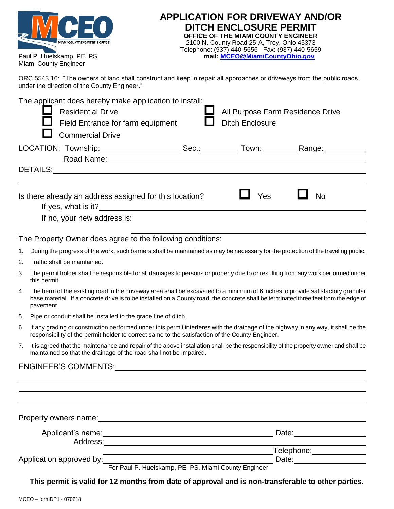| <b>MIAMI COUNTY ENGINEER'S OFFICE</b> |  |  |  |  |
|---------------------------------------|--|--|--|--|
| Paul P. Huelskamp, PE, PS             |  |  |  |  |
| Miami County Engineer                 |  |  |  |  |

| <b>APPLICATION FOR DRIVEWAY AND/OR</b>           |
|--------------------------------------------------|
| <b>DITCH ENCLOSURE PERMIT</b>                    |
| OFFICE OF THE MIAMI COUNTY ENGINEER              |
| 2100 N. County Road 25-A, Troy, Ohio 45373       |
| Telephone: (937) 440-5656    Fax: (937) 440-5659 |
| mail: MCEO@MiamiCountyOhio.gov                   |
|                                                  |

ORC 5543.16: "The owners of land shall construct and keep in repair all approaches or driveways from the public roads, under the direction of the County Engineer."

|    | The applicant does hereby make application to install:<br><b>Residential Drive</b><br>All Purpose Farm Residence Drive<br>Field Entrance for farm equipment<br><b>Ditch Enclosure</b><br><b>Commercial Drive</b>                                                                     |  |  |  |  |
|----|--------------------------------------------------------------------------------------------------------------------------------------------------------------------------------------------------------------------------------------------------------------------------------------|--|--|--|--|
|    |                                                                                                                                                                                                                                                                                      |  |  |  |  |
|    |                                                                                                                                                                                                                                                                                      |  |  |  |  |
|    | Yes<br><b>No</b><br>Is there already an address assigned for this location?                                                                                                                                                                                                          |  |  |  |  |
|    |                                                                                                                                                                                                                                                                                      |  |  |  |  |
|    | The Property Owner does agree to the following conditions:                                                                                                                                                                                                                           |  |  |  |  |
| 1. | During the progress of the work, such barriers shall be maintained as may be necessary for the protection of the traveling public.                                                                                                                                                   |  |  |  |  |
| 2. | Traffic shall be maintained.                                                                                                                                                                                                                                                         |  |  |  |  |
| 3. | The permit holder shall be responsible for all damages to persons or property due to or resulting from any work performed under<br>this permit.                                                                                                                                      |  |  |  |  |
| 4. | The berm of the existing road in the driveway area shall be excavated to a minimum of 6 inches to provide satisfactory granular<br>base material. If a concrete drive is to be installed on a County road, the concrete shall be terminated three feet from the edge of<br>pavement. |  |  |  |  |
| 5. | Pipe or conduit shall be installed to the grade line of ditch.                                                                                                                                                                                                                       |  |  |  |  |
| 6. | If any grading or construction performed under this permit interferes with the drainage of the highway in any way, it shall be the<br>responsibility of the permit holder to correct same to the satisfaction of the County Engineer.                                                |  |  |  |  |
| 7. | It is agreed that the maintenance and repair of the above installation shall be the responsibility of the property owner and shall be<br>maintained so that the drainage of the road shall not be impaired.                                                                          |  |  |  |  |
|    | ENGINEER'S COMMENTS: Note and the second service of the service of the service of the service of the service of the service of the service of the service of the service of the service of the service of the service of the s                                                       |  |  |  |  |
|    |                                                                                                                                                                                                                                                                                      |  |  |  |  |
|    |                                                                                                                                                                                                                                                                                      |  |  |  |  |
|    | Property owners name:<br><u>[</u> [11] Draman Muslim Cover 2014                                                                                                                                                                                                                      |  |  |  |  |

| Applicant's name:        |                                                      | Date:      |
|--------------------------|------------------------------------------------------|------------|
| Address:                 |                                                      |            |
|                          |                                                      | Telephone: |
| Application approved by: |                                                      | Date:      |
|                          | For Paul P. Huelskamp, PE, PS, Miami County Engineer |            |

**This permit is valid for 12 months from date of approval and is non-transferable to other parties.**